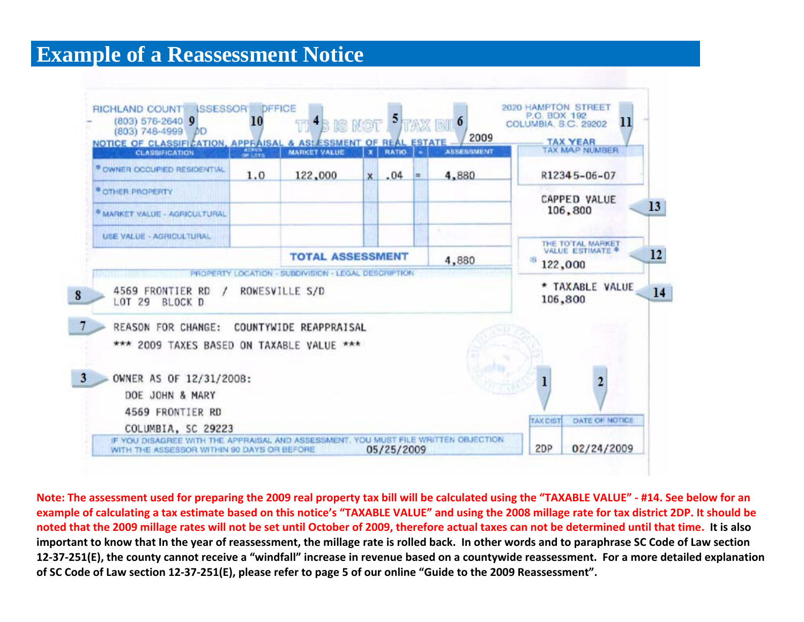## **Example of a Reassessment Notice**



Note: The assessment used for preparing the 2009 real property tax bill will be calculated using the "TAXABLE VALUE" - #14. See below for an example of calculating a tax estimate based on this notice's "TAXABLE VALUE" and using the 2008 millage rate for tax district 2DP. It should be noted that the 2009 millage rates will not be set until October of 2009, therefore actual taxes can not be determined until that time. It is also important to know that In the year of reassessment, the millage rate is rolled back. In other words and to paraphrase SC Code of Law section 12-37-251(E), the county cannot receive a "windfall" increase in revenue based on a countywide reassessment. For a more detailed explanation of SC Code of Law section 12-37-251(E), please refer to page 5 of our online "Guide to the 2009 Reassessment".